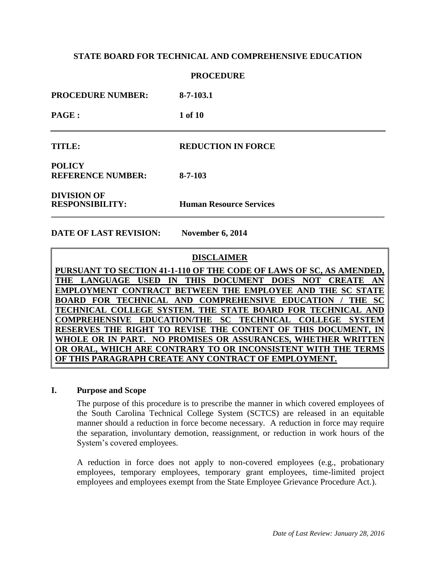### **PROCEDURE**

**PROCEDURE NUMBER: 8-7-103.1**

**PAGE : 1 of 10**

### **TITLE: REDUCTION IN FORCE**

**POLICY REFERENCE NUMBER: 8-7-103**

**DIVISION OF**

**RESPONSIBILITY: Human Resource Services \_\_\_\_\_\_\_\_\_\_\_\_\_\_\_\_\_\_\_\_\_\_\_\_\_\_\_\_\_\_\_\_\_\_\_\_\_\_\_\_\_\_\_\_\_\_\_\_\_\_\_\_\_\_\_\_\_\_\_\_\_\_\_\_\_\_\_\_\_\_\_\_\_\_\_\_\_\_**

**DATE OF LAST REVISION: November 6, 2014**

### **DISCLAIMER**

**PURSUANT TO SECTION 41-1-110 OF THE CODE OF LAWS OF SC, AS AMENDED, THE LANGUAGE USED IN THIS DOCUMENT DOES NOT CREATE AN EMPLOYMENT CONTRACT BETWEEN THE EMPLOYEE AND THE SC STATE BOARD FOR TECHNICAL AND COMPREHENSIVE EDUCATION / THE SC TECHNICAL COLLEGE SYSTEM. THE STATE BOARD FOR TECHNICAL AND COMPREHENSIVE EDUCATION/THE SC TECHNICAL COLLEGE SYSTEM RESERVES THE RIGHT TO REVISE THE CONTENT OF THIS DOCUMENT, IN WHOLE OR IN PART. NO PROMISES OR ASSURANCES, WHETHER WRITTEN OR ORAL, WHICH ARE CONTRARY TO OR INCONSISTENT WITH THE TERMS OF THIS PARAGRAPH CREATE ANY CONTRACT OF EMPLOYMENT.**

### **I. Purpose and Scope**

The purpose of this procedure is to prescribe the manner in which covered employees of the South Carolina Technical College System (SCTCS) are released in an equitable manner should a reduction in force become necessary. A reduction in force may require the separation, involuntary demotion, reassignment, or reduction in work hours of the System's covered employees.

A reduction in force does not apply to non-covered employees (e.g., probationary employees, temporary employees, temporary grant employees, time-limited project employees and employees exempt from the State Employee Grievance Procedure Act.).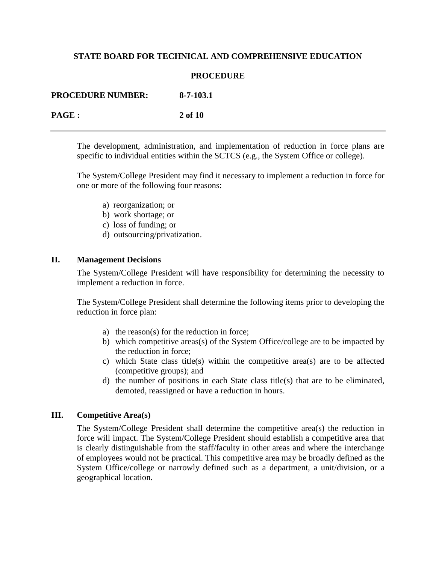### **PROCEDURE**

| <b>PROCEDURE NUMBER:</b> | 8-7-103.1 |
|--------------------------|-----------|
| <b>PAGE</b> :            | 2 of 10   |

The development, administration, and implementation of reduction in force plans are specific to individual entities within the SCTCS (e.g., the System Office or college).

The System/College President may find it necessary to implement a reduction in force for one or more of the following four reasons:

- a) reorganization; or
- b) work shortage; or
- c) loss of funding; or
- d) outsourcing/privatization.

## **II. Management Decisions**

The System/College President will have responsibility for determining the necessity to implement a reduction in force.

The System/College President shall determine the following items prior to developing the reduction in force plan:

- a) the reason(s) for the reduction in force;
- b) which competitive areas(s) of the System Office/college are to be impacted by the reduction in force;
- c) which State class title(s) within the competitive area(s) are to be affected (competitive groups); and
- d) the number of positions in each State class title(s) that are to be eliminated, demoted, reassigned or have a reduction in hours.

#### **III. Competitive Area(s)**

The System/College President shall determine the competitive area(s) the reduction in force will impact. The System/College President should establish a competitive area that is clearly distinguishable from the staff/faculty in other areas and where the interchange of employees would not be practical. This competitive area may be broadly defined as the System Office/college or narrowly defined such as a department, a unit/division, or a geographical location.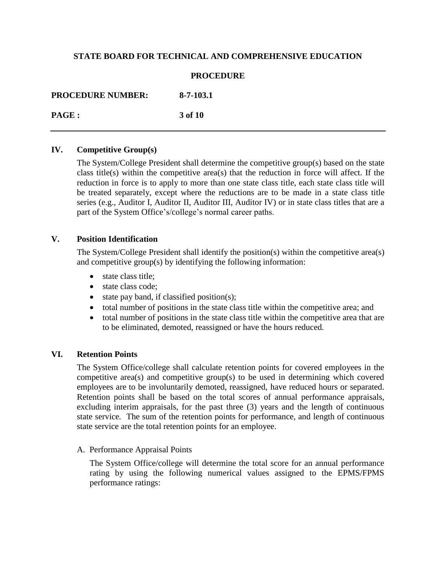### **PROCEDURE**

**PROCEDURE NUMBER: 8-7-103.1 PAGE : 3 of 10**

### **IV. Competitive Group(s)**

The System/College President shall determine the competitive group(s) based on the state class title(s) within the competitive area(s) that the reduction in force will affect. If the reduction in force is to apply to more than one state class title, each state class title will be treated separately, except where the reductions are to be made in a state class title series (e.g., Auditor I, Auditor II, Auditor III, Auditor IV) or in state class titles that are a part of the System Office's/college's normal career paths.

## **V. Position Identification**

The System/College President shall identify the position(s) within the competitive area(s) and competitive group(s) by identifying the following information:

- state class title:
- state class code;
- $\bullet$  state pay band, if classified position(s);
- total number of positions in the state class title within the competitive area; and
- total number of positions in the state class title within the competitive area that are to be eliminated, demoted, reassigned or have the hours reduced.

## **VI. Retention Points**

The System Office/college shall calculate retention points for covered employees in the competitive area(s) and competitive group(s) to be used in determining which covered employees are to be involuntarily demoted, reassigned, have reduced hours or separated. Retention points shall be based on the total scores of annual performance appraisals, excluding interim appraisals, for the past three (3) years and the length of continuous state service*.* The sum of the retention points for performance, and length of continuous state service are the total retention points for an employee.

A. Performance Appraisal Points

The System Office/college will determine the total score for an annual performance rating by using the following numerical values assigned to the EPMS/FPMS performance ratings: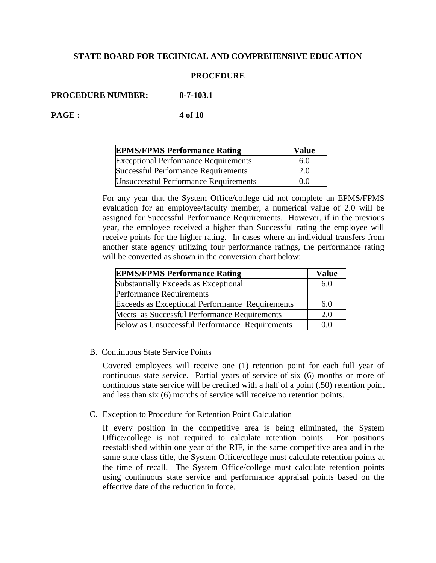### **PROCEDURE**

**PROCEDURE NUMBER: 8-7-103.1**

**PAGE : 4 of 10**

| <b>EPMS/FPMS Performance Rating</b>          | <b>Value</b>   |
|----------------------------------------------|----------------|
| <b>Exceptional Performance Requirements</b>  | 6.0            |
| <b>Successful Performance Requirements</b>   | 2.0            |
| <b>Unsuccessful Performance Requirements</b> | 0 <sub>0</sub> |

For any year that the System Office/college did not complete an EPMS/FPMS evaluation for an employee/faculty member, a numerical value of 2.0 will be assigned for Successful Performance Requirements. However, if in the previous year, the employee received a higher than Successful rating the employee will receive points for the higher rating. In cases where an individual transfers from another state agency utilizing four performance ratings, the performance rating will be converted as shown in the conversion chart below:

| <b>EPMS/FPMS Performance Rating</b>             | <b>Value</b> |
|-------------------------------------------------|--------------|
| Substantially Exceeds as Exceptional            | 6.0          |
| <b>Performance Requirements</b>                 |              |
| Exceeds as Exceptional Performance Requirements | 6.0          |
| Meets as Successful Performance Requirements    | 2.0          |
| Below as Unsuccessful Performance Requirements  |              |

B. Continuous State Service Points

Covered employees will receive one (1) retention point for each full year of continuous state service. Partial years of service of six (6) months or more of continuous state service will be credited with a half of a point (.50) retention point and less than six (6) months of service will receive no retention points.

C. Exception to Procedure for Retention Point Calculation

If every position in the competitive area is being eliminated, the System Office/college is not required to calculate retention points. For positions reestablished within one year of the RIF, in the same competitive area and in the same state class title, the System Office/college must calculate retention points at the time of recall. The System Office/college must calculate retention points using continuous state service and performance appraisal points based on the effective date of the reduction in force.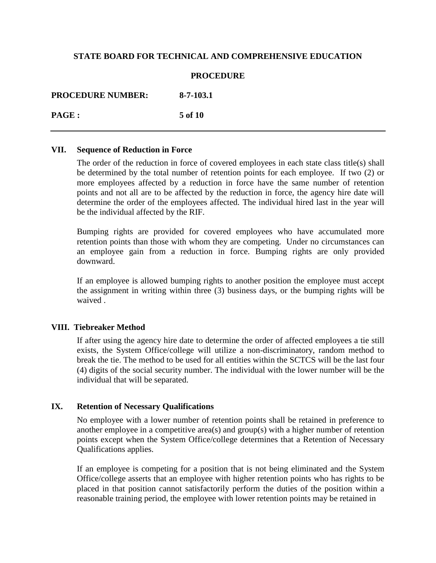### **PROCEDURE**

**PROCEDURE NUMBER: 8-7-103.1**

**PAGE : 5 of 10**

### **VII. Sequence of Reduction in Force**

The order of the reduction in force of covered employees in each state class title(s) shall be determined by the total number of retention points for each employee. If two (2) or more employees affected by a reduction in force have the same number of retention points and not all are to be affected by the reduction in force, the agency hire date will determine the order of the employees affected. The individual hired last in the year will be the individual affected by the RIF.

Bumping rights are provided for covered employees who have accumulated more retention points than those with whom they are competing. Under no circumstances can an employee gain from a reduction in force. Bumping rights are only provided downward.

If an employee is allowed bumping rights to another position the employee must accept the assignment in writing within three (3) business days, or the bumping rights will be waived .

## **VIII. Tiebreaker Method**

If after using the agency hire date to determine the order of affected employees a tie still exists, the System Office/college will utilize a non-discriminatory, random method to break the tie. The method to be used for all entities within the SCTCS will be the last four (4) digits of the social security number. The individual with the lower number will be the individual that will be separated.

## **IX. Retention of Necessary Qualifications**

No employee with a lower number of retention points shall be retained in preference to another employee in a competitive area(s) and group(s) with a higher number of retention points except when the System Office/college determines that a Retention of Necessary Qualifications applies.

If an employee is competing for a position that is not being eliminated and the System Office/college asserts that an employee with higher retention points who has rights to be placed in that position cannot satisfactorily perform the duties of the position within a reasonable training period, the employee with lower retention points may be retained in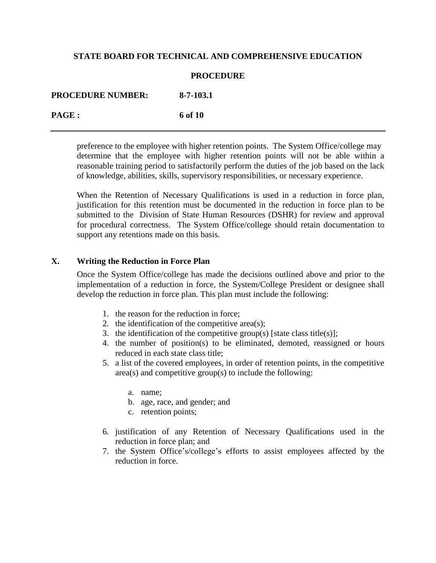### **PROCEDURE**

**PROCEDURE NUMBER: 8-7-103.1 PAGE : 6 of 10**

> preference to the employee with higher retention points. The System Office/college may determine that the employee with higher retention points will not be able within a reasonable training period to satisfactorily perform the duties of the job based on the lack of knowledge, abilities, skills, supervisory responsibilities, or necessary experience.

> When the Retention of Necessary Qualifications is used in a reduction in force plan, justification for this retention must be documented in the reduction in force plan to be submitted to the Division of State Human Resources (DSHR) for review and approval for procedural correctness. The System Office/college should retain documentation to support any retentions made on this basis.

### **X. Writing the Reduction in Force Plan**

Once the System Office/college has made the decisions outlined above and prior to the implementation of a reduction in force, the System/College President or designee shall develop the reduction in force plan. This plan must include the following:

- 1. the reason for the reduction in force;
- 2. the identification of the competitive area(s);
- 3. the identification of the competitive group(s) [state class title(s)];
- 4. the number of position(s) to be eliminated, demoted, reassigned or hours reduced in each state class title;
- 5. a list of the covered employees, in order of retention points, in the competitive area(s) and competitive group(s) to include the following:
	- a. name;
	- b. age, race, and gender; and
	- c. retention points;
- 6. justification of any Retention of Necessary Qualifications used in the reduction in force plan; and
- 7. the System Office's/college's efforts to assist employees affected by the reduction in force.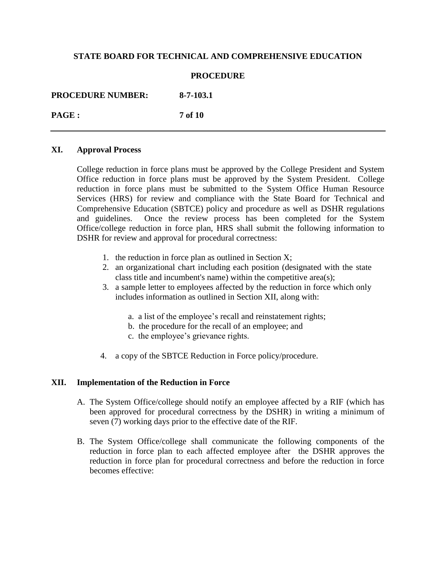### **PROCEDURE**

**PROCEDURE NUMBER: 8-7-103.1**

**PAGE : 7 of 10**

## **XI. Approval Process**

College reduction in force plans must be approved by the College President and System Office reduction in force plans must be approved by the System President. College reduction in force plans must be submitted to the System Office Human Resource Services (HRS) for review and compliance with the State Board for Technical and Comprehensive Education (SBTCE) policy and procedure as well as DSHR regulations and guidelines. Once the review process has been completed for the System Office/college reduction in force plan, HRS shall submit the following information to DSHR for review and approval for procedural correctness:

- 1. the reduction in force plan as outlined in Section X;
- 2. an organizational chart including each position (designated with the state class title and incumbent's name) within the competitive area(s);
- 3. a sample letter to employees affected by the reduction in force which only includes information as outlined in Section XII, along with:
	- a. a list of the employee's recall and reinstatement rights;
	- b. the procedure for the recall of an employee; and
	- c. the employee's grievance rights.
- 4. a copy of the SBTCE Reduction in Force policy/procedure.

## **XII. Implementation of the Reduction in Force**

- A. The System Office/college should notify an employee affected by a RIF (which has been approved for procedural correctness by the DSHR) in writing a minimum of seven (7) working days prior to the effective date of the RIF.
- B. The System Office/college shall communicate the following components of the reduction in force plan to each affected employee after the DSHR approves the reduction in force plan for procedural correctness and before the reduction in force becomes effective: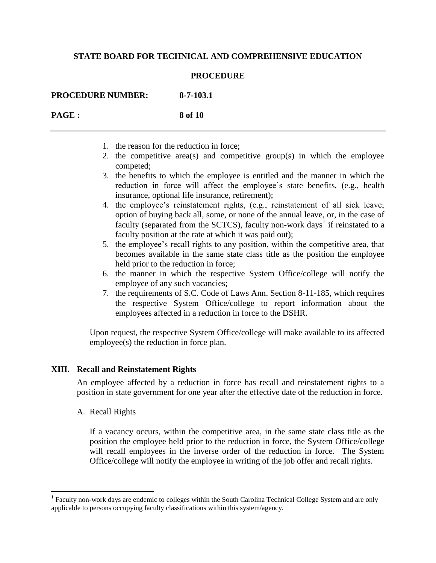### **PROCEDURE**

**PROCEDURE NUMBER: 8-7-103.1**

**PAGE : 8 of 10**

- 1. the reason for the reduction in force;
- 2. the competitive area(s) and competitive group(s) in which the employee competed;
- 3. the benefits to which the employee is entitled and the manner in which the reduction in force will affect the employee's state benefits, (e.g., health insurance, optional life insurance, retirement);
- 4. the employee's reinstatement rights, (e.g., reinstatement of all sick leave; option of buying back all, some, or none of the annual leave, or, in the case of faculty (separated from the SCTCS), faculty non-work days<sup>1</sup> if reinstated to a faculty position at the rate at which it was paid out);
- 5. the employee's recall rights to any position, within the competitive area, that becomes available in the same state class title as the position the employee held prior to the reduction in force;
- 6. the manner in which the respective System Office/college will notify the employee of any such vacancies;
- 7. the requirements of S.C. Code of Laws Ann. Section 8-11-185, which requires the respective System Office/college to report information about the employees affected in a reduction in force to the DSHR.

Upon request, the respective System Office/college will make available to its affected employee(s) the reduction in force plan.

## **XIII. Recall and Reinstatement Rights**

An employee affected by a reduction in force has recall and reinstatement rights to a position in state government for one year after the effective date of the reduction in force.

A. Recall Rights

 $\overline{a}$ 

If a vacancy occurs, within the competitive area, in the same state class title as the position the employee held prior to the reduction in force, the System Office/college will recall employees in the inverse order of the reduction in force. The System Office/college will notify the employee in writing of the job offer and recall rights.

<sup>&</sup>lt;sup>1</sup> Faculty non-work days are endemic to colleges within the South Carolina Technical College System and are only applicable to persons occupying faculty classifications within this system/agency.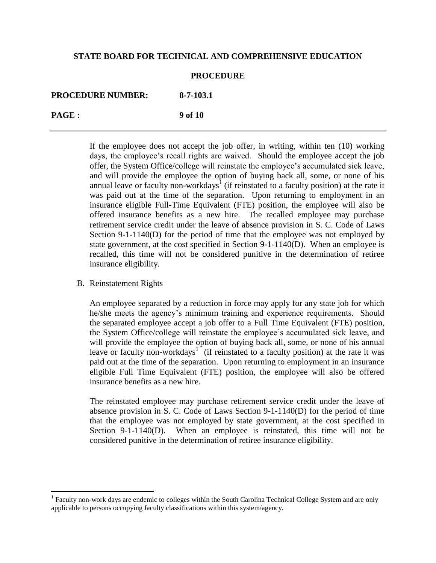#### **PROCEDURE**

**PROCEDURE NUMBER: 8-7-103.1**

**PAGE : 9 of 10**

If the employee does not accept the job offer, in writing, within ten (10) working days, the employee's recall rights are waived. Should the employee accept the job offer, the System Office/college will reinstate the employee's accumulated sick leave, and will provide the employee the option of buying back all, some, or none of his annual leave or faculty non-workdays<sup>1</sup> (if reinstated to a faculty position) at the rate it was paid out at the time of the separation. Upon returning to employment in an insurance eligible Full-Time Equivalent (FTE) position, the employee will also be offered insurance benefits as a new hire. The recalled employee may purchase retirement service credit under the leave of absence provision in S. C. Code of Laws Section 9-1-1140(D) for the period of time that the employee was not employed by state government, at the cost specified in Section 9-1-1140(D). When an employee is recalled, this time will not be considered punitive in the determination of retiree insurance eligibility.

#### B. Reinstatement Rights

 $\overline{a}$ 

An employee separated by a reduction in force may apply for any state job for which he/she meets the agency's minimum training and experience requirements. Should the separated employee accept a job offer to a Full Time Equivalent (FTE) position, the System Office/college will reinstate the employee's accumulated sick leave, and will provide the employee the option of buying back all, some, or none of his annual leave or faculty non-workdays<sup>1</sup> (if reinstated to a faculty position) at the rate it was paid out at the time of the separation. Upon returning to employment in an insurance eligible Full Time Equivalent (FTE) position, the employee will also be offered insurance benefits as a new hire.

The reinstated employee may purchase retirement service credit under the leave of absence provision in S. C. Code of Laws Section 9-1-1140(D) for the period of time that the employee was not employed by state government, at the cost specified in Section 9-1-1140(D). When an employee is reinstated, this time will not be considered punitive in the determination of retiree insurance eligibility.

<sup>&</sup>lt;sup>1</sup> Faculty non-work days are endemic to colleges within the South Carolina Technical College System and are only applicable to persons occupying faculty classifications within this system/agency.